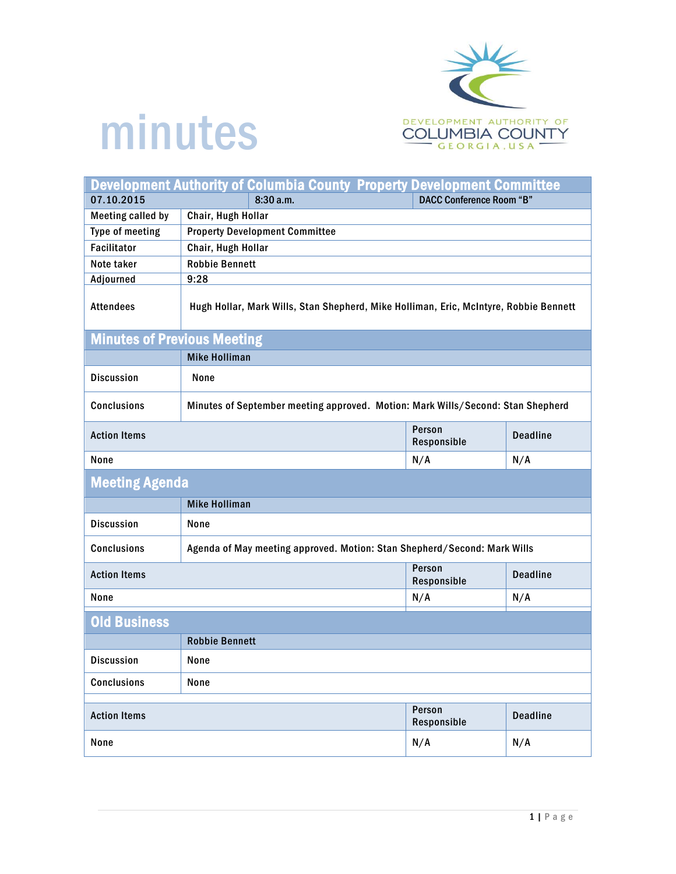

## minutes

| <b>Development Authority of Columbia County Property Development Committee</b> |                                                                                       |                                 |                 |  |
|--------------------------------------------------------------------------------|---------------------------------------------------------------------------------------|---------------------------------|-----------------|--|
| 07.10.2015                                                                     | 8:30 a.m.                                                                             | <b>DACC Conference Room "B"</b> |                 |  |
| <b>Meeting called by</b>                                                       | Chair, Hugh Hollar                                                                    |                                 |                 |  |
| Type of meeting                                                                | <b>Property Development Committee</b>                                                 |                                 |                 |  |
| <b>Facilitator</b>                                                             | Chair, Hugh Hollar                                                                    |                                 |                 |  |
| Note taker                                                                     | <b>Robbie Bennett</b>                                                                 |                                 |                 |  |
| Adjourned                                                                      | 9:28                                                                                  |                                 |                 |  |
| <b>Attendees</b>                                                               | Hugh Hollar, Mark Wills, Stan Shepherd, Mike Holliman, Eric, McIntyre, Robbie Bennett |                                 |                 |  |
| <b>Minutes of Previous Meeting</b>                                             |                                                                                       |                                 |                 |  |
|                                                                                | <b>Mike Holliman</b>                                                                  |                                 |                 |  |
| <b>Discussion</b>                                                              | None                                                                                  |                                 |                 |  |
| <b>Conclusions</b>                                                             | Minutes of September meeting approved. Motion: Mark Wills/Second: Stan Shepherd       |                                 |                 |  |
| <b>Action Items</b>                                                            |                                                                                       | Person<br>Responsible           | <b>Deadline</b> |  |
| None                                                                           |                                                                                       | N/A                             | N/A             |  |
| <b>Meeting Agenda</b>                                                          |                                                                                       |                                 |                 |  |
|                                                                                | <b>Mike Holliman</b>                                                                  |                                 |                 |  |
| <b>Discussion</b>                                                              | None                                                                                  |                                 |                 |  |
| <b>Conclusions</b>                                                             | Agenda of May meeting approved. Motion: Stan Shepherd/Second: Mark Wills              |                                 |                 |  |
| <b>Action Items</b>                                                            |                                                                                       | Person<br>Responsible           | <b>Deadline</b> |  |
| None                                                                           |                                                                                       | N/A                             | N/A             |  |
| <b>Old Business</b>                                                            |                                                                                       |                                 |                 |  |
|                                                                                | <b>Robbie Bennett</b>                                                                 |                                 |                 |  |
| <b>Discussion</b>                                                              | None                                                                                  |                                 |                 |  |
| Conclusions                                                                    | None                                                                                  |                                 |                 |  |
| <b>Action Items</b>                                                            |                                                                                       | Person<br>Responsible           | <b>Deadline</b> |  |
| None                                                                           |                                                                                       | N/A                             | N/A             |  |